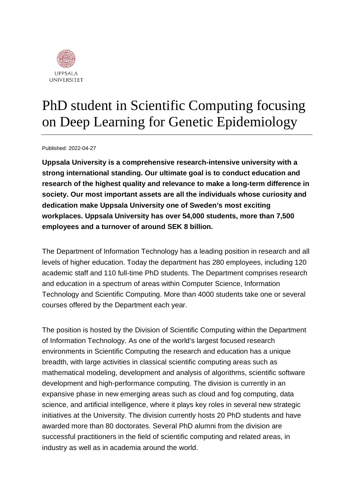

## PhD student in Scientific Computing focusing on Deep Learning for Genetic Epidemiology

Published: 2022-04-27

**Uppsala University is a comprehensive research-intensive university with a strong international standing. Our ultimate goal is to conduct education and research of the highest quality and relevance to make a long-term difference in society. Our most important assets are all the individuals whose curiosity and dedication make Uppsala University one of Sweden's most exciting workplaces. Uppsala University has over 54,000 students, more than 7,500 employees and a turnover of around SEK 8 billion.**

The Department of Information Technology has a leading position in research and all levels of higher education. Today the department has 280 employees, including 120 academic staff and 110 full-time PhD students. The Department comprises research and education in a spectrum of areas within Computer Science, Information Technology and Scientific Computing. More than 4000 students take one or several courses offered by the Department each year.

The position is hosted by the Division of Scientific Computing within the Department of Information Technology. As one of the world's largest focused research environments in Scientific Computing the research and education has a unique breadth, with large activities in classical scientific computing areas such as mathematical modeling, development and analysis of algorithms, scientific software development and high-performance computing. The division is currently in an expansive phase in new emerging areas such as cloud and fog computing, data science, and artificial intelligence, where it plays key roles in several new strategic initiatives at the University. The division currently hosts 20 PhD students and have awarded more than 80 doctorates. Several PhD alumni from the division are successful practitioners in the field of scientific computing and related areas, in industry as well as in academia around the world.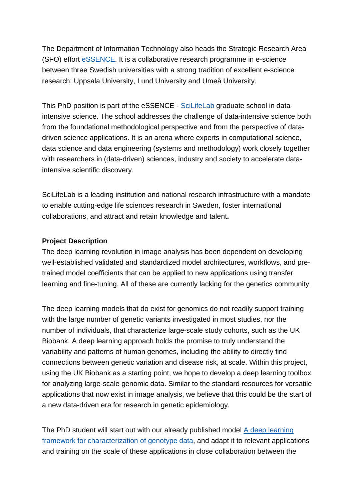The Department of Information Technology also heads the Strategic Research Area (SFO) effort [eSSENCE.](https://essenceofescience.se/) It is a collaborative research programme in e-science between three Swedish universities with a strong tradition of excellent e-science research: Uppsala University, Lund University and Umeå University.

This PhD position is part of the eSSENCE - [SciLifeLab](https://www.scilifelab.se/) graduate school in dataintensive science. The school addresses the challenge of data-intensive science both from the foundational methodological perspective and from the perspective of datadriven science applications. It is an arena where experts in computational science, data science and data engineering (systems and methodology) work closely together with researchers in (data-driven) sciences, industry and society to accelerate dataintensive scientific discovery.

SciLifeLab is a leading institution and national research infrastructure with a mandate to enable cutting-edge life sciences research in Sweden, foster international collaborations, and attract and retain knowledge and talent**.**

## **Project Description**

The deep learning revolution in image analysis has been dependent on developing well-established validated and standardized model architectures, workflows, and pretrained model coefficients that can be applied to new applications using transfer learning and fine-tuning. All of these are currently lacking for the genetics community.

The deep learning models that do exist for genomics do not readily support training with the large number of genetic variants investigated in most studies, nor the number of individuals, that characterize large-scale study cohorts, such as the UK Biobank. A deep learning approach holds the promise to truly understand the variability and patterns of human genomes, including the ability to directly find connections between genetic variation and disease risk, at scale. Within this project, using the UK Biobank as a starting point, we hope to develop a deep learning toolbox for analyzing large-scale genomic data. Similar to the standard resources for versatile applications that now exist in image analysis, we believe that this could be the start of a new data-driven era for research in genetic epidemiology.

The PhD student will start out with our already published model [A deep learning](https://academic.oup.com/g3journal/article/12/3/jkac020/6515290?login=false)  [framework for characterization of genotype data,](https://academic.oup.com/g3journal/article/12/3/jkac020/6515290?login=false) and adapt it to relevant applications and training on the scale of these applications in close collaboration between the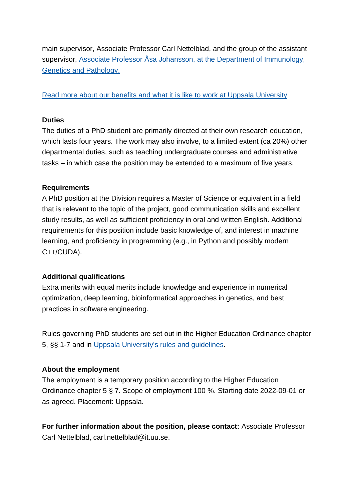main supervisor, Associate Professor Carl Nettelblad, and the group of the assistant supervisor, [Associate Professor Åsa Johansson, at the Department of Immunology,](https://igp.uu.se/research/genetics_genomics/asa-johansson/)  [Genetics and Pathology.](https://igp.uu.se/research/genetics_genomics/asa-johansson/)

#### [Read more about our benefits and what it is like to work at Uppsala University](https://www.uu.se/en/about-uu/join-us/)

#### **Duties**

The duties of a PhD student are primarily directed at their own research education, which lasts four years. The work may also involve, to a limited extent (ca 20%) other departmental duties, such as teaching undergraduate courses and administrative tasks – in which case the position may be extended to a maximum of five years.

#### **Requirements**

A PhD position at the Division requires a Master of Science or equivalent in a field that is relevant to the topic of the project, good communication skills and excellent study results, as well as sufficient proficiency in oral and written English. Additional requirements for this position include basic knowledge of, and interest in machine learning, and proficiency in programming (e.g., in Python and possibly modern C++/CUDA).

## **Additional qualifications**

Extra merits with equal merits include knowledge and experience in numerical optimization, deep learning, bioinformatical approaches in genetics, and best practices in software engineering.

Rules governing PhD students are set out in the Higher Education Ordinance chapter 5, §§ 1-7 and in [Uppsala University's rules and guidelines.](https://regler.uu.se/?languageId=1)

#### **About the employment**

The employment is a temporary position according to the Higher Education Ordinance chapter 5 § 7*.* Scope of employment 100 %. Starting date 2022-09-01 or as agreed. Placement: Uppsala.

**For further information about the position, please contact:** Associate Professor Carl Nettelblad, carl.nettelblad@it.uu.se.